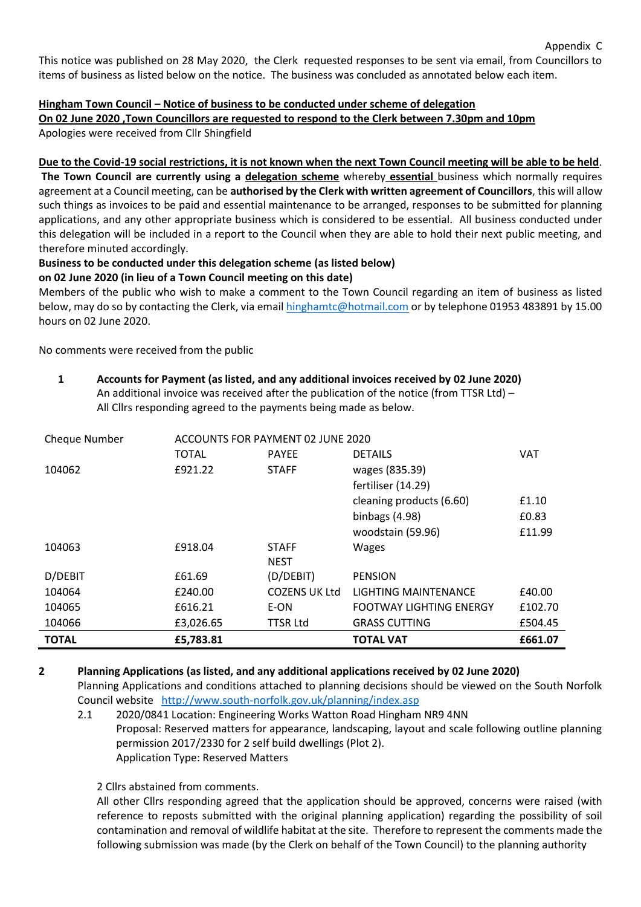Appendix C

This notice was published on 28 May 2020, the Clerk requested responses to be sent via email, from Councillors to items of business as listed below on the notice. The business was concluded as annotated below each item.

# **Hingham Town Council – Notice of business to be conducted under scheme of delegation**

**On 02 June 2020 ,Town Councillors are requested to respond to the Clerk between 7.30pm and 10pm**

Apologies were received from Cllr Shingfield

# **Due to the Covid-19 social restrictions, it is not known when the next Town Council meeting will be able to be held**.

**The Town Council are currently using a delegation scheme** whereby **essential** business which normally requires agreement at a Council meeting, can be **authorised by the Clerk with written agreement of Councillors**, this will allow such things as invoices to be paid and essential maintenance to be arranged, responses to be submitted for planning applications, and any other appropriate business which is considered to be essential. All business conducted under this delegation will be included in a report to the Council when they are able to hold their next public meeting, and therefore minuted accordingly.

# **Business to be conducted under this delegation scheme (as listed below)**

# **on 02 June 2020 (in lieu of a Town Council meeting on this date)**

Members of the public who wish to make a comment to the Town Council regarding an item of business as listed below, may do so by contacting the Clerk, via email **hinghamtc@hotmail.com** or by telephone 01953 483891 by 15.00 hours on 02 June 2020.

No comments were received from the public

#### **1 Accounts for Payment (as listed, and any additional invoices received by 02 June 2020)** An additional invoice was received after the publication of the notice (from TTSR Ltd) – All Cllrs responding agreed to the payments being made as below.

| <b>Cheque Number</b> | ACCOUNTS FOR PAYMENT 02 JUNE 2020 |                      |                                |         |
|----------------------|-----------------------------------|----------------------|--------------------------------|---------|
|                      | TOTAL                             | <b>PAYEE</b>         | <b>DETAILS</b>                 | VAT     |
| 104062               | £921.22                           | <b>STAFF</b>         | wages (835.39)                 |         |
|                      |                                   |                      | fertiliser (14.29)             |         |
|                      |                                   |                      | cleaning products (6.60)       | £1.10   |
|                      |                                   |                      | binbags $(4.98)$               | £0.83   |
|                      |                                   |                      | woodstain (59.96)              | £11.99  |
| 104063               | £918.04                           | <b>STAFF</b>         | <b>Wages</b>                   |         |
|                      |                                   | <b>NEST</b>          |                                |         |
| D/DEBIT              | £61.69                            | (D/DEBIT)            | <b>PENSION</b>                 |         |
| 104064               | £240.00                           | <b>COZENS UK Ltd</b> | LIGHTING MAINTENANCE           | £40.00  |
| 104065               | £616.21                           | E-ON                 | <b>FOOTWAY LIGHTING ENERGY</b> | £102.70 |
| 104066               | £3,026.65                         | <b>TTSR Ltd</b>      | <b>GRASS CUTTING</b>           | £504.45 |
| <b>TOTAL</b>         | £5,783.81                         |                      | <b>TOTAL VAT</b>               | £661.07 |

# **2 Planning Applications (as listed, and any additional applications received by 02 June 2020)** Planning Applications and conditions attached to planning decisions should be viewed on the South Norfolk Council website <http://www.south-norfolk.gov.uk/planning/index.asp>

2.1 2020/0841 Location: Engineering Works Watton Road Hingham NR9 4NN Proposal: Reserved matters for appearance, landscaping, layout and scale following outline planning permission 2017/2330 for 2 self build dwellings (Plot 2). Application Type: Reserved Matters

2 Cllrs abstained from comments.

All other Cllrs responding agreed that the application should be approved, concerns were raised (with reference to reposts submitted with the original planning application) regarding the possibility of soil contamination and removal of wildlife habitat at the site. Therefore to represent the comments made the following submission was made (by the Clerk on behalf of the Town Council) to the planning authority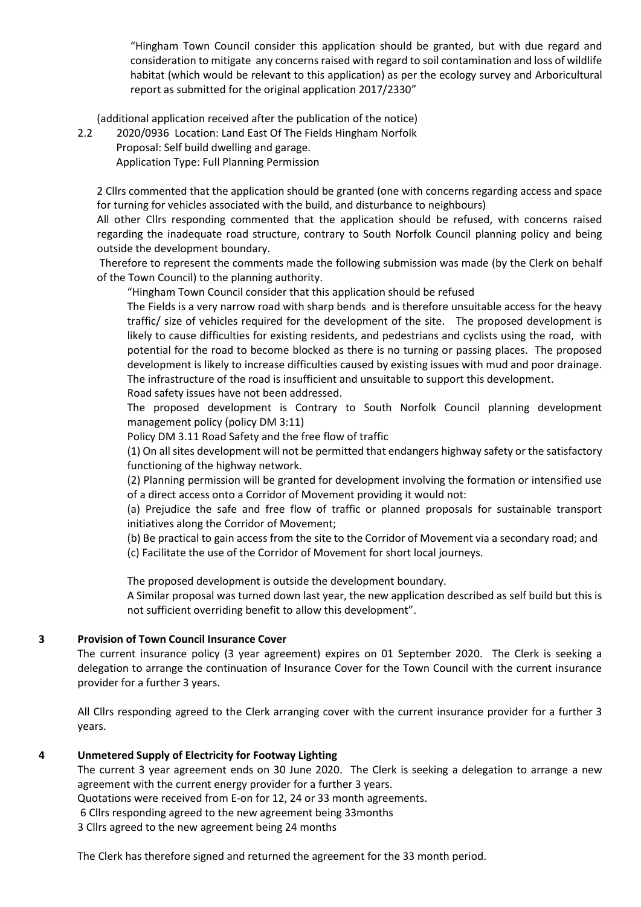"Hingham Town Council consider this application should be granted, but with due regard and consideration to mitigate any concerns raised with regard to soil contamination and loss of wildlife habitat (which would be relevant to this application) as per the ecology survey and Arboricultural report as submitted for the original application 2017/2330"

(additional application received after the publication of the notice)

2.2 2020/0936 Location: Land East Of The Fields Hingham Norfolk Proposal: Self build dwelling and garage.

Application Type: Full Planning Permission

2 Cllrs commented that the application should be granted (one with concerns regarding access and space for turning for vehicles associated with the build, and disturbance to neighbours)

All other Cllrs responding commented that the application should be refused, with concerns raised regarding the inadequate road structure, contrary to South Norfolk Council planning policy and being outside the development boundary.

Therefore to represent the comments made the following submission was made (by the Clerk on behalf of the Town Council) to the planning authority.

"Hingham Town Council consider that this application should be refused

The Fields is a very narrow road with sharp bends and is therefore unsuitable access for the heavy traffic/ size of vehicles required for the development of the site. The proposed development is likely to cause difficulties for existing residents, and pedestrians and cyclists using the road, with potential for the road to become blocked as there is no turning or passing places. The proposed development is likely to increase difficulties caused by existing issues with mud and poor drainage. The infrastructure of the road is insufficient and unsuitable to support this development.

Road safety issues have not been addressed.

The proposed development is Contrary to South Norfolk Council planning development management policy (policy DM 3:11)

Policy DM 3.11 Road Safety and the free flow of traffic

(1) On all sites development will not be permitted that endangers highway safety or the satisfactory functioning of the highway network.

(2) Planning permission will be granted for development involving the formation or intensified use of a direct access onto a Corridor of Movement providing it would not:

(a) Prejudice the safe and free flow of traffic or planned proposals for sustainable transport initiatives along the Corridor of Movement;

(b) Be practical to gain access from the site to the Corridor of Movement via a secondary road; and (c) Facilitate the use of the Corridor of Movement for short local journeys.

The proposed development is outside the development boundary.

A Similar proposal was turned down last year, the new application described as self build but this is not sufficient overriding benefit to allow this development".

# **3 Provision of Town Council Insurance Cover**

The current insurance policy (3 year agreement) expires on 01 September 2020. The Clerk is seeking a delegation to arrange the continuation of Insurance Cover for the Town Council with the current insurance provider for a further 3 years.

All Cllrs responding agreed to the Clerk arranging cover with the current insurance provider for a further 3 years.

# **4 Unmetered Supply of Electricity for Footway Lighting**

The current 3 year agreement ends on 30 June 2020. The Clerk is seeking a delegation to arrange a new agreement with the current energy provider for a further 3 years.

Quotations were received from E-on for 12, 24 or 33 month agreements.

6 Cllrs responding agreed to the new agreement being 33months

3 Cllrs agreed to the new agreement being 24 months

The Clerk has therefore signed and returned the agreement for the 33 month period.